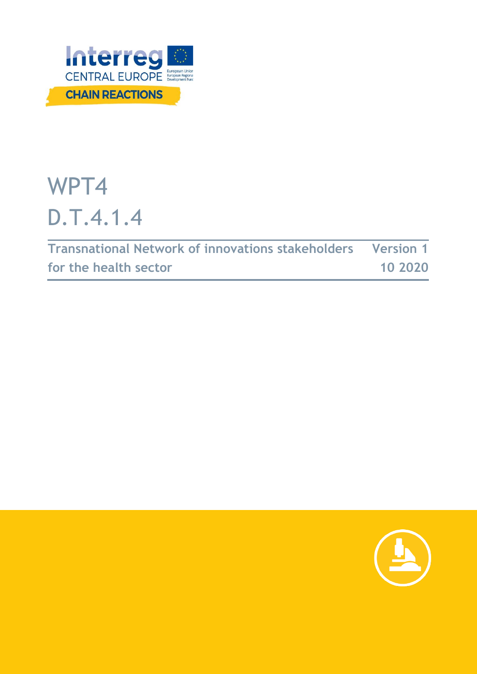

# WPT4 D.T.4.1.4

| <b>Transnational Network of innovations stakeholders Version 1</b> |         |
|--------------------------------------------------------------------|---------|
| for the health sector                                              | 10 2020 |

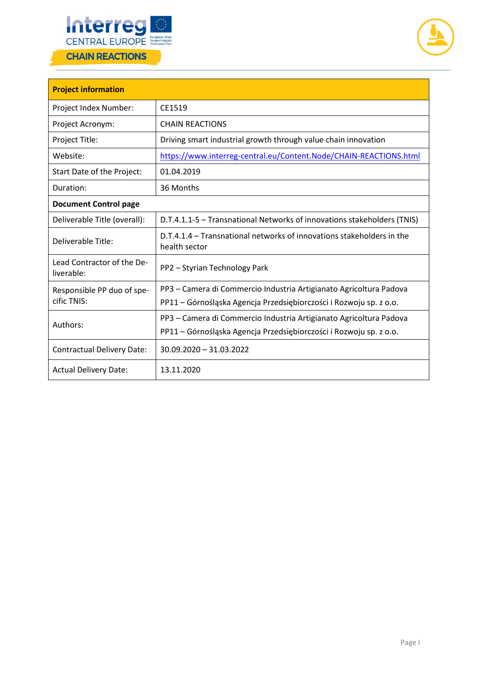



| <b>Project information</b>               |                                                                                        |
|------------------------------------------|----------------------------------------------------------------------------------------|
| Project Index Number:                    | CE1519                                                                                 |
| Project Acronym:                         | <b>CHAIN REACTIONS</b>                                                                 |
| Project Title:                           | Driving smart industrial growth through value chain innovation                         |
| Website:                                 | https://www.interreg-central.eu/Content.Node/CHAIN-REACTIONS.html                      |
| Start Date of the Project:               | 01.04.2019                                                                             |
| Duration:                                | 36 Months                                                                              |
| <b>Document Control page</b>             |                                                                                        |
| Deliverable Title (overall):             | D.T.4.1.1-5 - Transnational Networks of innovations stakeholders (TNIS)                |
| Deliverable Title:                       | D.T.4.1.4 – Transnational networks of innovations stakeholders in the<br>health sector |
| Lead Contractor of the De-<br>liverable: | PP2 - Styrian Technology Park                                                          |
| Responsible PP duo of spe-               | PP3 – Camera di Commercio Industria Artigianato Agricoltura Padova                     |
| cific TNIS:                              | PP11 – Górnośląska Agencja Przedsiębiorczości i Rozwoju sp. z o.o.                     |
| Authors:                                 | PP3 – Camera di Commercio Industria Artigianato Agricoltura Padova                     |
|                                          | PP11 - Górnośląska Agencja Przedsiębiorczości i Rozwoju sp. z o.o.                     |
| <b>Contractual Delivery Date:</b>        | 30.09.2020 - 31.03.2022                                                                |
| <b>Actual Delivery Date:</b>             | 13.11.2020                                                                             |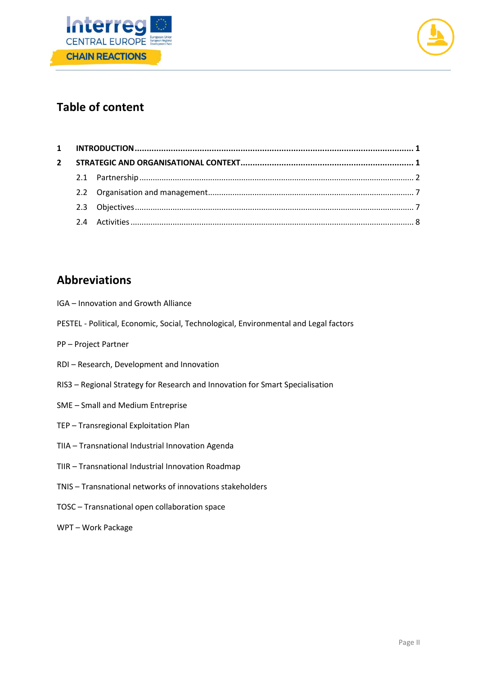



# **Table of content**

| $\mathbf{2}$ |  |  |
|--------------|--|--|
|              |  |  |
|              |  |  |
|              |  |  |
|              |  |  |

# **Abbreviations**

- IGA Innovation and Growth Alliance
- PESTEL Political, Economic, Social, Technological, Environmental and Legal factors
- PP Project Partner
- RDI Research, Development and Innovation
- RIS3 Regional Strategy for Research and Innovation for Smart Specialisation
- SME Small and Medium Entreprise
- TEP Transregional Exploitation Plan
- TIIA Transnational Industrial Innovation Agenda
- TIIR Transnational Industrial Innovation Roadmap
- TNIS Transnational networks of innovations stakeholders
- TOSC Transnational open collaboration space
- WPT Work Package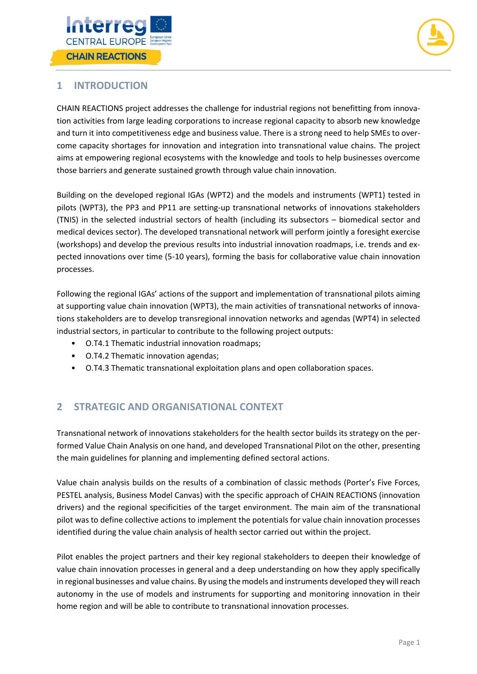



## <span id="page-3-0"></span>**1 INTRODUCTION**

CHAIN REACTIONS project addresses the challenge for industrial regions not benefitting from innovation activities from large leading corporations to increase regional capacity to absorb new knowledge and turn it into competitiveness edge and business value. There is a strong need to help SMEs to overcome capacity shortages for innovation and integration into transnational value chains. The project aims at empowering regional ecosystems with the knowledge and tools to help businesses overcome those barriers and generate sustained growth through value chain innovation.

Building on the developed regional IGAs (WPT2) and the models and instruments (WPT1) tested in pilots (WPT3), the PP3 and PP11 are setting-up transnational networks of innovations stakeholders (TNIS) in the selected industrial sectors of health (including its subsectors – biomedical sector and medical devices sector). The developed transnational network will perform jointly a foresight exercise (workshops) and develop the previous results into industrial innovation roadmaps, i.e. trends and expected innovations over time (5-10 years), forming the basis for collaborative value chain innovation processes.

Following the regional IGAs' actions of the support and implementation of transnational pilots aiming at supporting value chain innovation (WPT3), the main activities of transnational networks of innovations stakeholders are to develop transregional innovation networks and agendas (WPT4) in selected industrial sectors, in particular to contribute to the following project outputs:

- O.T4.1 Thematic industrial innovation roadmaps;
- O.T4.2 Thematic innovation agendas;
- O.T4.3 Thematic transnational exploitation plans and open collaboration spaces.

## <span id="page-3-1"></span>**2 STRATEGIC AND ORGANISATIONAL CONTEXT**

Transnational network of innovations stakeholders for the health sector builds its strategy on the performed Value Chain Analysis on one hand, and developed Transnational Pilot on the other, presenting the main guidelines for planning and implementing defined sectoral actions.

Value chain analysis builds on the results of a combination of classic methods (Porter's Five Forces, PESTEL analysis, Business Model Canvas) with the specific approach of CHAIN REACTIONS (innovation drivers) and the regional specificities of the target environment. The main aim of the transnational pilot was to define collective actions to implement the potentials for value chain innovation processes identified during the value chain analysis of health sector carried out within the project.

<span id="page-3-2"></span>Pilot enables the project partners and their key regional stakeholders to deepen their knowledge of value chain innovation processes in general and a deep understanding on how they apply specifically in regional businesses and value chains. By using the models and instruments developed they will reach autonomy in the use of models and instruments for supporting and monitoring innovation in their home region and will be able to contribute to transnational innovation processes.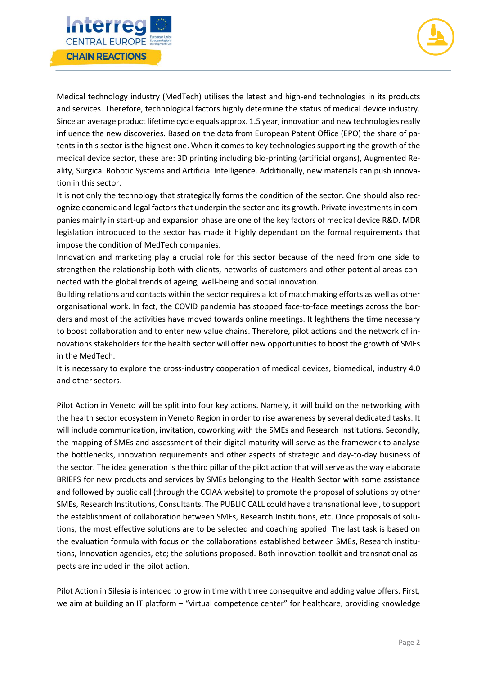

Medical technology industry (MedTech) utilises the latest and high-end technologies in its products and services. Therefore, technological factors highly determine the status of medical device industry. Since an average product lifetime cycle equals approx. 1.5 year, innovation and new technologies really influence the new discoveries. Based on the data from European Patent Office (EPO) the share of patents in this sector is the highest one. When it comes to key technologies supporting the growth of the medical device sector, these are: 3D printing including bio-printing (artificial organs), Augmented Reality, Surgical Robotic Systems and Artificial Intelligence. Additionally, new materials can push innovation in this sector.

erre **CENTRAL EUROPE** 

**CHAIN REACTIONS** 

It is not only the technology that strategically forms the condition of the sector. One should also recognize economic and legal factors that underpin the sector and its growth. Private investmentsin companies mainly in start-up and expansion phase are one of the key factors of medical device R&D. MDR legislation introduced to the sector has made it highly dependant on the formal requirements that impose the condition of MedTech companies.

Innovation and marketing play a crucial role for this sector because of the need from one side to strengthen the relationship both with clients, networks of customers and other potential areas connected with the global trends of ageing, well-being and social innovation.

Building relations and contacts within the sector requires a lot of matchmaking efforts as well as other organisational work. In fact, the COVID pandemia has stopped face-to-face meetings across the borders and most of the activities have moved towards online meetings. It leghthens the time necessary to boost collaboration and to enter new value chains. Therefore, pilot actions and the network of innovations stakeholders for the health sector will offer new opportunities to boost the growth of SMEs in the MedTech.

It is necessary to explore the cross-industry cooperation of medical devices, biomedical, industry 4.0 and other sectors.

Pilot Action in Veneto will be split into four key actions. Namely, it will build on the networking with the health sector ecosystem in Veneto Region in order to rise awareness by several dedicated tasks. It will include communication, invitation, coworking with the SMEs and Research Institutions. Secondly, the mapping of SMEs and assessment of their digital maturity will serve as the framework to analyse the bottlenecks, innovation requirements and other aspects of strategic and day-to-day business of the sector. The idea generation is the third pillar of the pilot action that will serve as the way elaborate BRIEFS for new products and services by SMEs belonging to the Health Sector with some assistance and followed by public call (through the CCIAA website) to promote the proposal of solutions by other SMEs, Research Institutions, Consultants. The PUBLIC CALL could have a transnational level, to support the establishment of collaboration between SMEs, Research Institutions, etc. Once proposals of solutions, the most effective solutions are to be selected and coaching applied. The last task is based on the evaluation formula with focus on the collaborations established between SMEs, Research institutions, Innovation agencies, etc; the solutions proposed. Both innovation toolkit and transnational aspects are included in the pilot action.

Pilot Action in Silesia is intended to grow in time with three consequitve and adding value offers. First, we aim at building an IT platform – "virtual competence center" for healthcare, providing knowledge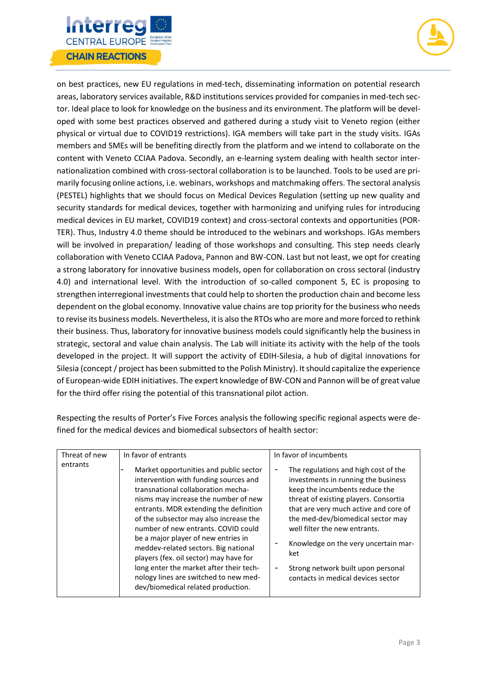



on best practices, new EU regulations in med-tech, disseminating information on potential research areas, laboratory services available, R&D institutions services provided for companies in med-tech sector. Ideal place to look for knowledge on the business and its environment. The platform will be developed with some best practices observed and gathered during a study visit to Veneto region (either physical or virtual due to COVID19 restrictions). IGA members will take part in the study visits. IGAs members and SMEs will be benefiting directly from the platform and we intend to collaborate on the content with Veneto CCIAA Padova. Secondly, an e-learning system dealing with health sector internationalization combined with cross-sectoral collaboration is to be launched. Tools to be used are primarily focusing online actions, i.e. webinars, workshops and matchmaking offers. The sectoral analysis (PESTEL) highlights that we should focus on Medical Devices Regulation (setting up new quality and security standards for medical devices, together with harmonizing and unifying rules for introducing medical devices in EU market, COVID19 context) and cross-sectoral contexts and opportunities (POR-TER). Thus, Industry 4.0 theme should be introduced to the webinars and workshops. IGAs members will be involved in preparation/ leading of those workshops and consulting. This step needs clearly collaboration with Veneto CCIAA Padova, Pannon and BW-CON. Last but not least, we opt for creating a strong laboratory for innovative business models, open for collaboration on cross sectoral (industry 4.0) and international level. With the introduction of so-called component 5, EC is proposing to strengthen interregional investments that could help to shorten the production chain and become less dependent on the global economy. Innovative value chains are top priority for the business who needs to revise its business models. Nevertheless, it is also the RTOs who are more and more forced to rethink their business. Thus, laboratory for innovative business models could significantly help the business in strategic, sectoral and value chain analysis. The Lab will initiate its activity with the help of the tools developed in the project. It will support the activity of EDIH-Silesia, a hub of digital innovations for Silesia (concept / project has been submitted to the Polish Ministry). It should capitalize the experience of European-wide EDIH initiatives. The expert knowledge of BW-CON and Pannon will be of great value for the third offer rising the potential of this transnational pilot action.

Respecting the results of Porter's Five Forces analysis the following specific regional aspects were defined for the medical devices and biomedical subsectors of health sector:

| Threat of new | In favor of entrants                                                                                                                                                                                                                                                                                                                                                                                                                                                                                                                        | In favor of incumbents                                                                                                                                                                                                                                                                                                                                                                           |  |
|---------------|---------------------------------------------------------------------------------------------------------------------------------------------------------------------------------------------------------------------------------------------------------------------------------------------------------------------------------------------------------------------------------------------------------------------------------------------------------------------------------------------------------------------------------------------|--------------------------------------------------------------------------------------------------------------------------------------------------------------------------------------------------------------------------------------------------------------------------------------------------------------------------------------------------------------------------------------------------|--|
| entrants      | Market opportunities and public sector<br>intervention with funding sources and<br>transnational collaboration mecha-<br>nisms may increase the number of new<br>entrants. MDR extending the definition<br>of the subsector may also increase the<br>number of new entrants. COVID could<br>be a major player of new entries in<br>meddev-related sectors. Big national<br>players (fex. oil sector) may have for<br>long enter the market after their tech-<br>nology lines are switched to new med-<br>dev/biomedical related production. | The regulations and high cost of the<br>investments in running the business<br>keep the incumbents reduce the<br>threat of existing players. Consortia<br>that are very much active and core of<br>the med-dev/biomedical sector may<br>well filter the new entrants.<br>Knowledge on the very uncertain mar-<br>ket<br>Strong network built upon personal<br>contacts in medical devices sector |  |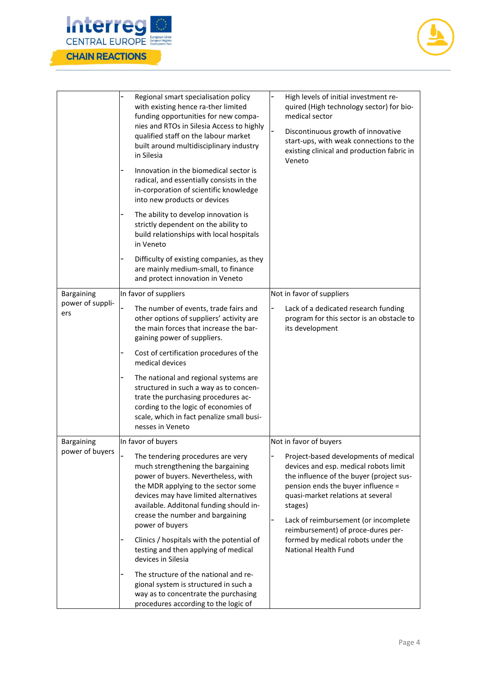



|                         | Regional smart specialisation policy<br>with existing hence ra-ther limited<br>funding opportunities for new compa-<br>nies and RTOs in Silesia Access to highly<br>qualified staff on the labour market<br>built around multidisciplinary industry<br>in Silesia<br>Innovation in the biomedical sector is | High levels of initial investment re-<br>quired (High technology sector) for bio-<br>medical sector<br>$\overline{\phantom{0}}$<br>Discontinuous growth of innovative<br>start-ups, with weak connections to the<br>existing clinical and production fabric in<br>Veneto                       |
|-------------------------|-------------------------------------------------------------------------------------------------------------------------------------------------------------------------------------------------------------------------------------------------------------------------------------------------------------|------------------------------------------------------------------------------------------------------------------------------------------------------------------------------------------------------------------------------------------------------------------------------------------------|
|                         | radical, and essentially consists in the<br>in-corporation of scientific knowledge<br>into new products or devices                                                                                                                                                                                          |                                                                                                                                                                                                                                                                                                |
|                         | The ability to develop innovation is<br>strictly dependent on the ability to<br>build relationships with local hospitals<br>in Veneto                                                                                                                                                                       |                                                                                                                                                                                                                                                                                                |
|                         | Difficulty of existing companies, as they<br>are mainly medium-small, to finance<br>and protect innovation in Veneto                                                                                                                                                                                        |                                                                                                                                                                                                                                                                                                |
| Bargaining              | In favor of suppliers                                                                                                                                                                                                                                                                                       | Not in favor of suppliers                                                                                                                                                                                                                                                                      |
| power of suppli-<br>ers | The number of events, trade fairs and<br>other options of suppliers' activity are<br>the main forces that increase the bar-<br>gaining power of suppliers.                                                                                                                                                  | Lack of a dedicated research funding<br>program for this sector is an obstacle to<br>its development                                                                                                                                                                                           |
|                         | Cost of certification procedures of the<br>medical devices                                                                                                                                                                                                                                                  |                                                                                                                                                                                                                                                                                                |
|                         | The national and regional systems are<br>structured in such a way as to concen-<br>trate the purchasing procedures ac-<br>cording to the logic of economies of<br>scale, which in fact penalize small busi-<br>nesses in Veneto                                                                             |                                                                                                                                                                                                                                                                                                |
| Bargaining              | In favor of buyers                                                                                                                                                                                                                                                                                          | Not in favor of buyers                                                                                                                                                                                                                                                                         |
| power of buyers         | The tendering procedures are very<br>much strengthening the bargaining<br>power of buyers. Nevertheless, with<br>the MDR applying to the sector some<br>devices may have limited alternatives<br>available. Additonal funding should in-<br>crease the number and bargaining<br>power of buyers             | Project-based developments of medical<br>devices and esp. medical robots limit<br>the influence of the buyer (project sus-<br>pension ends the buyer influence =<br>quasi-market relations at several<br>stages)<br>Lack of reimbursement (or incomplete<br>reimbursement) of proce-dures per- |
|                         | Clinics / hospitals with the potential of<br>testing and then applying of medical<br>devices in Silesia                                                                                                                                                                                                     | formed by medical robots under the<br>National Health Fund                                                                                                                                                                                                                                     |
|                         | The structure of the national and re-<br>gional system is structured in such a<br>way as to concentrate the purchasing<br>procedures according to the logic of                                                                                                                                              |                                                                                                                                                                                                                                                                                                |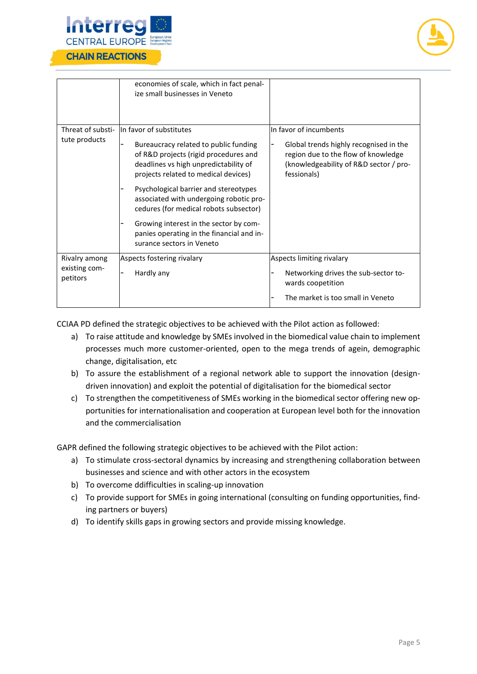



|                                            | economies of scale, which in fact penal-<br>ize small businesses in Veneto                                                                                                                                                                                                                                                                                                                                                                   |                                                                                                                                                                  |
|--------------------------------------------|----------------------------------------------------------------------------------------------------------------------------------------------------------------------------------------------------------------------------------------------------------------------------------------------------------------------------------------------------------------------------------------------------------------------------------------------|------------------------------------------------------------------------------------------------------------------------------------------------------------------|
| Threat of substi-<br>tute products         | In favor of substitutes<br>Bureaucracy related to public funding<br>of R&D projects (rigid procedures and<br>deadlines vs high unpredictability of<br>projects related to medical devices)<br>Psychological barrier and stereotypes<br>associated with undergoing robotic pro-<br>cedures (for medical robots subsector)<br>Growing interest in the sector by com-<br>panies operating in the financial and in-<br>surance sectors in Veneto | In favor of incumbents<br>Global trends highly recognised in the<br>region due to the flow of knowledge<br>(knowledgeability of R&D sector / pro-<br>fessionals) |
| Rivalry among<br>existing com-<br>petitors | Aspects fostering rivalary<br>Hardly any                                                                                                                                                                                                                                                                                                                                                                                                     | Aspects limiting rivalary<br>Networking drives the sub-sector to-<br>wards coopetition<br>The market is too small in Veneto                                      |

CCIAA PD defined the strategic objectives to be achieved with the Pilot action as followed:

- a) To raise attitude and knowledge by SMEs involved in the biomedical value chain to implement processes much more customer-oriented, open to the mega trends of agein, demographic change, digitalisation, etc
- b) To assure the establishment of a regional network able to support the innovation (designdriven innovation) and exploit the potential of digitalisation for the biomedical sector
- c) To strengthen the competitiveness of SMEs working in the biomedical sector offering new opportunities for internationalisation and cooperation at European level both for the innovation and the commercialisation

GAPR defined the following strategic objectives to be achieved with the Pilot action:

- a) To stimulate cross-sectoral dynamics by increasing and strengthening collaboration between businesses and science and with other actors in the ecosystem
- b) To overcome ddifficulties in scaling-up innovation
- c) To provide support for SMEs in going international (consulting on funding opportunities, finding partners or buyers)
- d) To identify skills gaps in growing sectors and provide missing knowledge.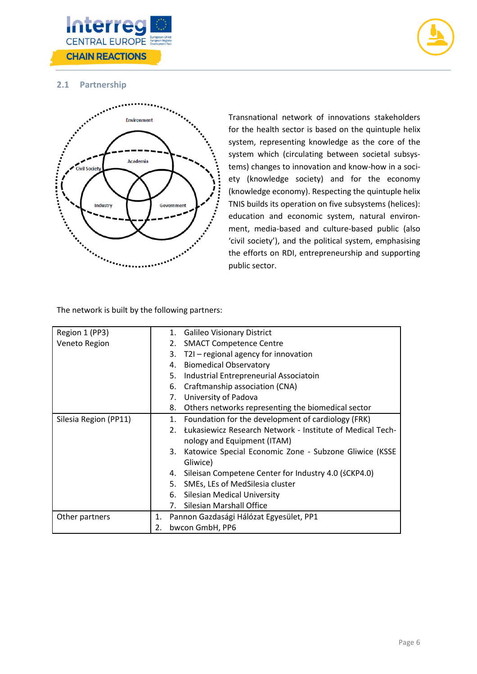



## **2.1 Partnership**



Transnational network of innovations stakeholders for the health sector is based on the quintuple helix system, representing knowledge as the core of the system which (circulating between societal subsystems) changes to innovation and know-how in a society (knowledge society) and for the economy (knowledge economy). Respecting the quintuple helix TNIS builds its operation on five subsystems (helices): education and economic system, natural environment, media-based and culture-based public (also 'civil society'), and the political system, emphasising the efforts on RDI, entrepreneurship and supporting public sector.

The network is built by the following partners:

<span id="page-8-0"></span>

| Region 1 (PP3)        |    | 1. Galileo Visionary District |                                                              |
|-----------------------|----|-------------------------------|--------------------------------------------------------------|
| Veneto Region         |    |                               | 2. SMACT Competence Centre                                   |
|                       |    | 3.                            | T2I - regional agency for innovation                         |
|                       |    |                               | 4. Biomedical Observatory                                    |
|                       |    | 5.                            | Industrial Entrepreneurial Associatoin                       |
|                       |    |                               | 6. Craftmanship association (CNA)                            |
|                       |    | 7.                            | University of Padova                                         |
|                       |    | 8.                            | Others networks representing the biomedical sector           |
| Silesia Region (PP11) |    |                               | 1. Foundation for the development of cardiology (FRK)        |
|                       |    |                               | 2. Łukasiewicz Research Network - Institute of Medical Tech- |
|                       |    |                               | nology and Equipment (ITAM)                                  |
|                       |    |                               | 3. Katowice Special Economic Zone - Subzone Gliwice (KSSE    |
|                       |    |                               | Gliwice)                                                     |
|                       |    | 4.                            | Sileisan Competene Center for Industry 4.0 (śCKP4.0)         |
|                       |    |                               | 5. SMEs, LEs of MedSilesia cluster                           |
|                       |    |                               | 6. Silesian Medical University                               |
|                       |    | 7.                            | Silesian Marshall Office                                     |
| Other partners        | 1. |                               | Pannon Gazdasági Hálózat Egyesület, PP1                      |
| 2.<br>bwcon GmbH, PP6 |    |                               |                                                              |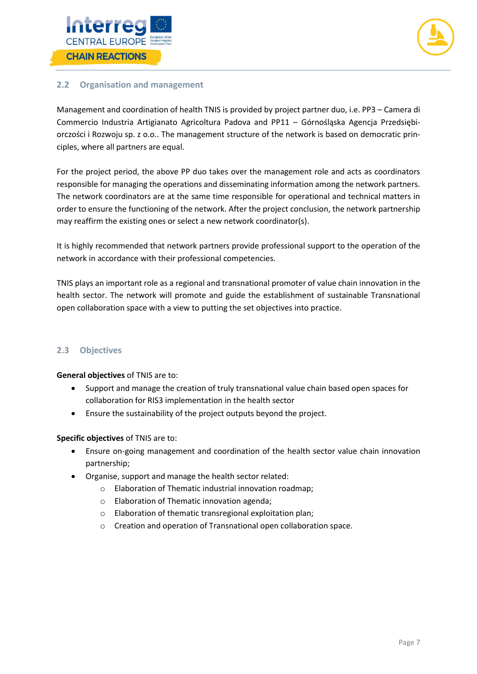



### **2.2 Organisation and management**

Management and coordination of health TNIS is provided by project partner duo, i.e. PP3 – Camera di Commercio Industria Artigianato Agricoltura Padova and PP11 – Górnośląska Agencja Przedsiębiorczości i Rozwoju sp. z o.o.. The management structure of the network is based on democratic principles, where all partners are equal.

For the project period, the above PP duo takes over the management role and acts as coordinators responsible for managing the operations and disseminating information among the network partners. The network coordinators are at the same time responsible for operational and technical matters in order to ensure the functioning of the network. After the project conclusion, the network partnership may reaffirm the existing ones or select a new network coordinator(s).

It is highly recommended that network partners provide professional support to the operation of the network in accordance with their professional competencies.

TNIS plays an important role as a regional and transnational promoter of value chain innovation in the health sector. The network will promote and guide the establishment of sustainable Transnational open collaboration space with a view to putting the set objectives into practice.

#### <span id="page-9-0"></span>**2.3 Objectives**

**General objectives** of TNIS are to:

- Support and manage the creation of truly transnational value chain based open spaces for collaboration for RIS3 implementation in the health sector
- Ensure the sustainability of the project outputs beyond the project.

**Specific objectives** of TNIS are to:

- Ensure on-going management and coordination of the health sector value chain innovation partnership;
- <span id="page-9-1"></span>• Organise, support and manage the health sector related:
	- o Elaboration of Thematic industrial innovation roadmap;
	- o Elaboration of Thematic innovation agenda;
	- o Elaboration of thematic transregional exploitation plan;
	- o Creation and operation of Transnational open collaboration space.